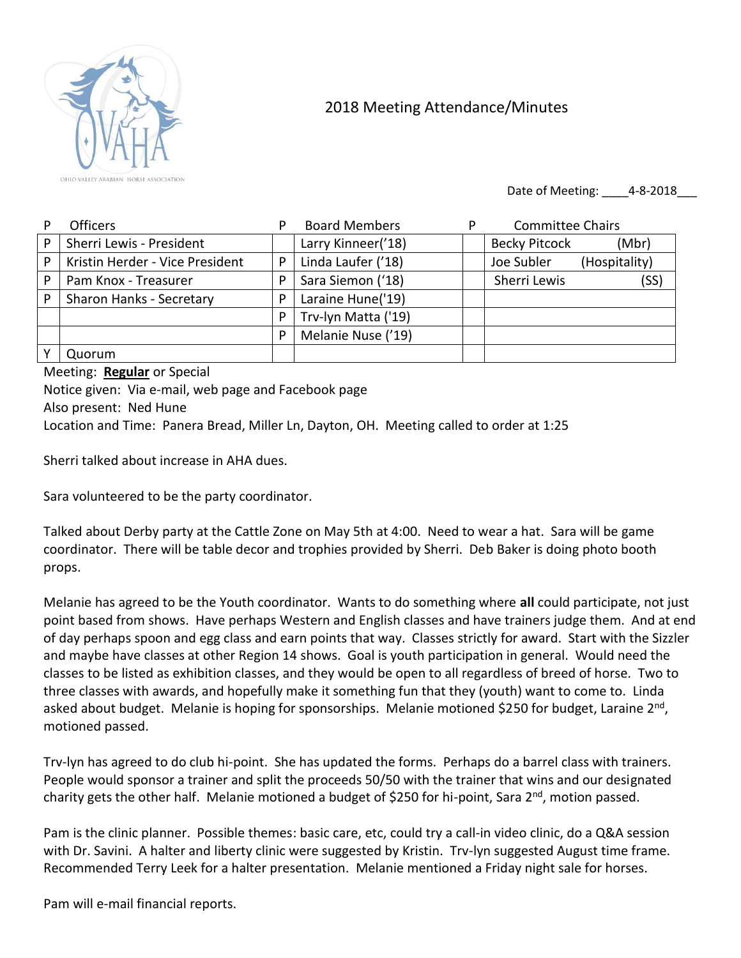

## 2018 Meeting Attendance/Minutes

Date of Meeting: 4-8-2018

|   | <b>Officers</b>                 | P | <b>Board Members</b> | <b>Committee Chairs</b>       |
|---|---------------------------------|---|----------------------|-------------------------------|
| P | Sherri Lewis - President        |   | Larry Kinneer('18)   | <b>Becky Pitcock</b><br>(Mbr) |
| P | Kristin Herder - Vice President | P | Linda Laufer ('18)   | Joe Subler<br>(Hospitality)   |
| P | Pam Knox - Treasurer            | P | Sara Siemon ('18)    | Sherri Lewis<br>(SS)          |
| P | <b>Sharon Hanks - Secretary</b> | P | Laraine Hune('19)    |                               |
|   |                                 | P | Trv-lyn Matta ('19)  |                               |
|   |                                 | P | Melanie Nuse ('19)   |                               |
|   | Quorum                          |   |                      |                               |

Meeting: **Regular** or Special Notice given: Via e-mail, web page and Facebook page Also present: Ned Hune Location and Time: Panera Bread, Miller Ln, Dayton, OH. Meeting called to order at 1:25

Sherri talked about increase in AHA dues.

Sara volunteered to be the party coordinator.

Talked about Derby party at the Cattle Zone on May 5th at 4:00. Need to wear a hat. Sara will be game coordinator. There will be table decor and trophies provided by Sherri. Deb Baker is doing photo booth props.

Melanie has agreed to be the Youth coordinator. Wants to do something where **all** could participate, not just point based from shows. Have perhaps Western and English classes and have trainers judge them. And at end of day perhaps spoon and egg class and earn points that way. Classes strictly for award. Start with the Sizzler and maybe have classes at other Region 14 shows. Goal is youth participation in general. Would need the classes to be listed as exhibition classes, and they would be open to all regardless of breed of horse. Two to three classes with awards, and hopefully make it something fun that they (youth) want to come to. Linda asked about budget. Melanie is hoping for sponsorships. Melanie motioned \$250 for budget, Laraine 2<sup>nd</sup>, motioned passed.

Trv-lyn has agreed to do club hi-point. She has updated the forms. Perhaps do a barrel class with trainers. People would sponsor a trainer and split the proceeds 50/50 with the trainer that wins and our designated charity gets the other half. Melanie motioned a budget of \$250 for hi-point, Sara 2<sup>nd</sup>, motion passed.

Pam is the clinic planner. Possible themes: basic care, etc, could try a call-in video clinic, do a Q&A session with Dr. Savini. A halter and liberty clinic were suggested by Kristin. Trv-lyn suggested August time frame. Recommended Terry Leek for a halter presentation. Melanie mentioned a Friday night sale for horses.

Pam will e-mail financial reports.